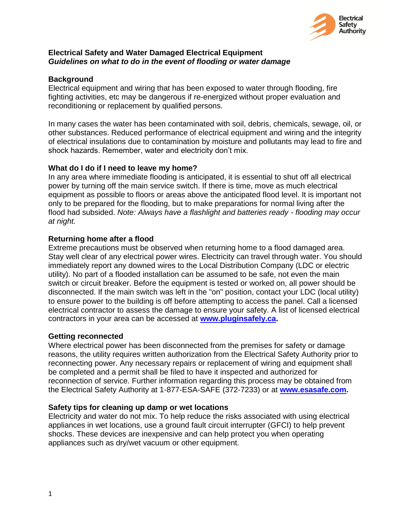

### **Electrical Safety and Water Damaged Electrical Equipment**  *Guidelines on what to do in the event of flooding or water damage*

# **Background**

Electrical equipment and wiring that has been exposed to water through flooding, fire fighting activities, etc may be dangerous if re-energized without proper evaluation and reconditioning or replacement by qualified persons.

In many cases the water has been contaminated with soil, debris, chemicals, sewage, oil, or other substances. Reduced performance of electrical equipment and wiring and the integrity of electrical insulations due to contamination by moisture and pollutants may lead to fire and shock hazards. Remember, water and electricity don't mix.

# **What do I do if I need to leave my home?**

In any area where immediate flooding is anticipated, it is essential to shut off all electrical power by turning off the main service switch. If there is time, move as much electrical equipment as possible to floors or areas above the anticipated flood level. It is important not only to be prepared for the flooding, but to make preparations for normal living after the flood had subsided. *Note: Always have a flashlight and batteries ready - flooding may occur at night.* 

# **Returning home after a flood**

Extreme precautions must be observed when returning home to a flood damaged area. Stay well clear of any electrical power wires. Electricity can travel through water. You should immediately report any downed wires to the Local Distribution Company (LDC or electric utility). No part of a flooded installation can be assumed to be safe, not even the main switch or circuit breaker. Before the equipment is tested or worked on, all power should be disconnected. If the main switch was left in the "on" position, contact your LDC (local utility) to ensure power to the building is off before attempting to access the panel. Call a licensed electrical contractor to assess the damage to ensure your safety. A list of licensed electrical contractors in your area can be accessed at **[www.pluginsafely.ca.](http://www.pluginsafely.ca/)**

### **Getting reconnected**

Where electrical power has been disconnected from the premises for safety or damage reasons, the utility requires written authorization from the Electrical Safety Authority prior to reconnecting power. Any necessary repairs or replacement of wiring and equipment shall be completed and a permit shall be filed to have it inspected and authorized for reconnection of service. Further information regarding this process may be obtained from the Electrical Safety Authority at 1-877-ESA-SAFE (372-7233) or at **[www.esasafe.com.](http://www.esasafe.com/)**

### **Safety tips for cleaning up damp or wet locations**

Electricity and water do not mix. To help reduce the risks associated with using electrical appliances in wet locations, use a ground fault circuit interrupter (GFCI) to help prevent shocks. These devices are inexpensive and can help protect you when operating appliances such as dry/wet vacuum or other equipment.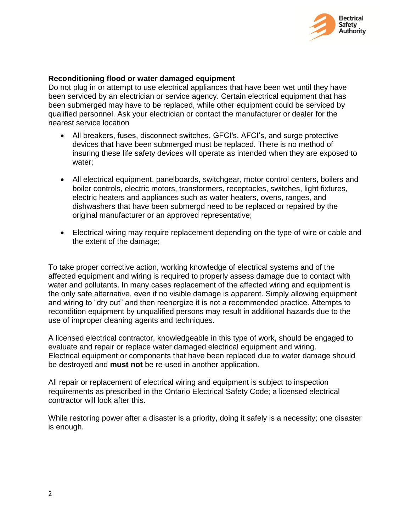

#### **Reconditioning flood or water damaged equipment**

Do not plug in or attempt to use electrical appliances that have been wet until they have been serviced by an electrician or service agency. Certain electrical equipment that has been submerged may have to be replaced, while other equipment could be serviced by qualified personnel. Ask your electrician or contact the manufacturer or dealer for the nearest service location

- All breakers, fuses, disconnect switches, GFCI's, AFCI's, and surge protective devices that have been submerged must be replaced. There is no method of insuring these life safety devices will operate as intended when they are exposed to water;
- All electrical equipment, panelboards, switchgear, motor control centers, boilers and boiler controls, electric motors, transformers, receptacles, switches, light fixtures, electric heaters and appliances such as water heaters, ovens, ranges, and dishwashers that have been submergd need to be replaced or repaired by the original manufacturer or an approved representative;
- Electrical wiring may require replacement depending on the type of wire or cable and the extent of the damage;

To take proper corrective action, working knowledge of electrical systems and of the affected equipment and wiring is required to properly assess damage due to contact with water and pollutants. In many cases replacement of the affected wiring and equipment is the only safe alternative, even if no visible damage is apparent. Simply allowing equipment and wiring to "dry out" and then reenergize it is not a recommended practice. Attempts to recondition equipment by unqualified persons may result in additional hazards due to the use of improper cleaning agents and techniques.

A licensed electrical contractor, knowledgeable in this type of work, should be engaged to evaluate and repair or replace water damaged electrical equipment and wiring. Electrical equipment or components that have been replaced due to water damage should be destroyed and **must not** be re-used in another application.

All repair or replacement of electrical wiring and equipment is subject to inspection requirements as prescribed in the Ontario Electrical Safety Code; a licensed electrical contractor will look after this.

While restoring power after a disaster is a priority, doing it safely is a necessity; one disaster is enough.